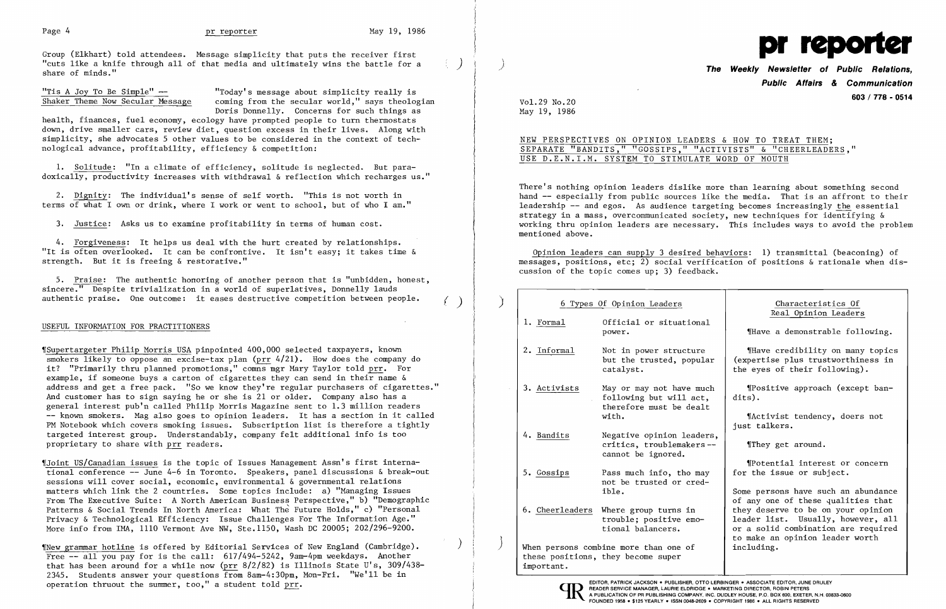

Group (Elkhart) told attendees. Message simplicity that puts the receiver first "cuts like a knife through all of that media and ultimately wins the battle for a share of minds."

\

 $"$ Tis A Joy To Be Simple"  $-$ <br>Shaker Theme Now Secular Message coming from the secular world," says theology coming from the secular world," says theologian Doris Donnelly. Concerns for such things as

health, finances, fuel economy, ecology have prompted people to turn thermostats down, drive smaller cars, review diet, question excess in their lives. Along with simplicity, she advocates 5 other values to be considered in the context of technological advance, profitability, efficiency & competition:

5. Praise: The authentic honoring of another person that is "unbidden, honest, sincere." Despite trivialization in a world of superlatives, Donnelly lauds authentic praise. One outcome: it eases destructive competition between people.

1. Solitude: "In a climate of efficiency, solitude is neglected. But paradoxically, productivity increases with withdrawal & reflection which recharges us."

2. Dignity: The individual's sense of self worth. "This is not worth in terms of what I own or drink, where I work or went to school, but of who I am."

3. Justice: Asks us to examine profitability in terms of human cost.

4. Forgiveness: It helps us deal with the hurt created by relationships. "It is often overlooked. It can be confrontive. It isn't easy; it takes time & strength. But it is freeing & restorative."

## USEFUL INFORMATION FOR PRACTITIONERS

## **The Weekly Newsletter of Public Relations. Public Affairs & Communication**  Vo1.29 No.20 **603 / 778 - <sup>0514</sup>**

~rSupertargeter Philip Morris USA pinpointed 400,000 selected taxpayers, known smokers likely to oppose an excise-tax plan (prr 4/21). How does the company do it? "Primarily thru planned promotions," comns mgr Mary Taylor told prr. For example, if someone buys a carton of cigarettes they can send in their name & address and get a free pack. "So we know they're regular purchasers of cigarettes." And customer has to sign saying he or she is 21 or older. Company also has a general interest pub'n called Philip Morris Magazine sent to 1.3 million readers -- known smokers. Mag also goes to opinion leaders. It has a section in it called PM Notebook which covers smoking issues. Subscription list is therefore a tightly targeted interest group. Understandably, company felt additional info is too proprietary to share with prr readers.

~rJoint US/Canadian issues is the topic of Issues Management Assn's first international conference -- June 4-6 in Toronto. Speakers, panel discussions & break-out sessions will cover social, economic, environmental & governmental relations matters which link the 2 countries. Some topics include: a) "Managing Issues From The Executive Suite: A North American Business Perspective," b) "Demographic Patterns & Social Trends In North America: What The Future Holds," c) "Personal Privacy & Technological Efficiency: Issue Challenges For The Information Age." More info from lMA, 1110 Vermont Ave NW, Ste.1150, Wash DC 20005; 202/296-9200.

 $\gamma$ New grammar hotline is offered by Editorial Services of New England (Cambridge). Free -- all you pay for is the call: 617/494-5242, 9am-4pm weekdays. Another that has been around for a while now (prr  $8/2/82$ ) is Illinois State U's,  $309/438$ -2345. Students answer your questions from 8am-4:30pm, Mon-Fri. "We'll be in OPETATION thruout the summer, too," a student told prr. **READER SERVICE MANAGER, ACKSON** OPERADER **PRODER SERVICE MANAGER, LAURIE ELDRIDGE . MARKETING DIRECTOR, ROBIN PETERS** 

May 19, 1986

## NEW PERSPECTIVES ON OPINION LEADERS & HOW TO TREAT THEM; SEPARATE "BANDITS," "GOSSIPS," "ACTIVISTS" & "CHEERLEADERS," USE D.E.N.I.M. SYSTEM TO STIMULATE WORD OF MOUTH

There's nothing opinion leaders dislike more than learning about something second hand -- especially from public sources like the media. That is an affront to their leadership -- and egos. As audience targeting becomes increasingly the essential strategy in a mass, overcommunicated society, new techniques for identifying & working thru opinion leaders are necessary. This includes ways to avoid the problem mentioned above.

Opinion leaders can supply 3 desired behaviors: 1) transmittal (beaconing) of messages, positions, etc; 2) social verification of positions & rationale when discussion of the topic comes up; 3) feedback.

|                                                                                           | 6 Types Of Opinion Leaders                                                     | Characteristics Of                                                                                                                                 |
|-------------------------------------------------------------------------------------------|--------------------------------------------------------------------------------|----------------------------------------------------------------------------------------------------------------------------------------------------|
| 1. Formal                                                                                 | Official or situational<br>power.                                              | Real Opinion Leaders<br>Have a demonstrable following.                                                                                             |
| 2. Informal                                                                               | Not in power structure<br>but the trusted, popular<br>catalyst.                | "Have credibility on many topics<br>(expertise plus trustworthiness in<br>the eyes of their following).                                            |
| 3. Activists                                                                              | May or may not have much<br>following but will act,<br>therefore must be dealt | "Positive approach (except ban-<br>dits).                                                                                                          |
|                                                                                           | with.                                                                          | Mactivist tendency, doers not<br>just talkers.                                                                                                     |
| 4. Bandits                                                                                | Negative opinion leaders,<br>critics, troublemakers--<br>cannot be ignored.    | They get around.                                                                                                                                   |
| 5. Gossips                                                                                | Pass much info, tho may<br>not be trusted or cred-                             | <i>IPotential interest or concern</i><br>for the issue or subject.                                                                                 |
|                                                                                           | ible.                                                                          | Some persons have such an abundance<br>of any one of these qualities that                                                                          |
| 6. Cheerleaders                                                                           | Where group turns in<br>trouble; positive emo-<br>tional balancers.            | they deserve to be on your opinion<br>leader list. Usually, however, all<br>or a solid combination are required<br>to make an opinion leader worth |
| When persons combine more than one of<br>these positions, they become super<br>important. |                                                                                | including.                                                                                                                                         |

| 6 Types Of Opinion Leaders | Re                                                                                                                                     |                                                      |
|----------------------------|----------------------------------------------------------------------------------------------------------------------------------------|------------------------------------------------------|
| 1. Formal                  | Official or situational<br>power.                                                                                                      | let The Hurris a                                     |
| 2. Informal                | Not in power structure<br>but the trusted, popular<br>catalyst.                                                                        | <b>IHave</b> c<br>(expertise<br>the eyes o           |
| 3. Activists               | May or may not have much<br>following but will act,<br>therefore must be dealt<br>with.                                                | <b>MPositi</b><br>dits).<br><b>NActivi</b>           |
| 4. Bandits                 | Negative opinion leaders,<br>critics, troublemakers--<br>cannot be ignored.                                                            | just talke<br>$\P$ They g                            |
| 5. Gossips                 | Pass much info, tho may<br>not be trusted or cred-<br>ible.                                                                            | <b>IPotent</b><br>for the is<br>Some perso:          |
| 6. Cheerleaders            | Where group turns in<br>trouble; positive emo-<br>tional balancers.                                                                    | of any one<br>they deser<br>leader lis<br>or a solid |
| important.                 | When persons combine more than one of<br>these positions, they become super                                                            | to make an<br>including.                             |
|                            | EDITOR, PATRICK JACKSON . PUBLISHER, OTTO LERBINGER . ASSOCIATE EI<br>READER SERVICE MANAGER, LAURIE ELDRIDGE . MARKETING DIRECTOR, RO |                                                      |